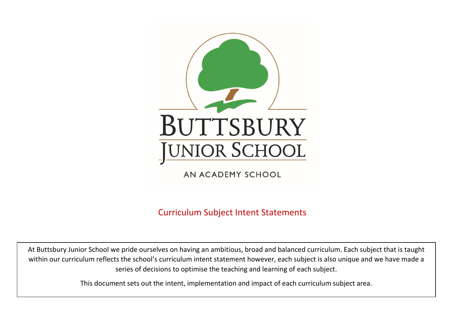

AN ACADEMY SCHOOL

Curriculum Subject Intent Statements

At Buttsbury Junior School we pride ourselves on having an ambitious, broad and balanced curriculum. Each subject that is taught within our curriculum reflects the school's curriculum intent statement however, each subject is also unique and we have made a series of decisions to optimise the teaching and learning of each subject.

This document sets out the intent, implementation and impact of each curriculum subject area.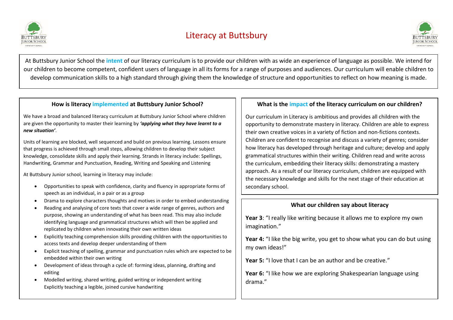



At Buttsbury Junior School the **intent** of our literacy curriculum is to provide our children with as wide an experience of language as possible. We intend for our children to become competent, confident users of language in all its forms for a range of purposes and audiences. Our curriculum will enable children to develop communication skills to a high standard through giving them the knowledge of structure and opportunities to reflect on how meaning is made.

### **How is literacy implemented at Buttsbury Junior School?**

We have a broad and balanced literacy curriculum at Buttsbury Junior School where children are given the opportunity to master their learning by *'applying what they have learnt to a new situation'*.

Units of learning are blocked, well sequenced and build on previous learning. Lessons ensure that progress is achieved through small steps, allowing children to develop their subject knowledge, consolidate skills and apply their learning. Strands in literacy include: Spellings, Handwriting, Grammar and Punctuation, Reading, Writing and Speaking and Listening

At Buttsbury Junior school, learning in literacy may include:

- Opportunities to speak with confidence, clarity and fluency in appropriate forms of speech as an individual, in a pair or as a group
- Drama to explore characters thoughts and motives in order to embed understanding
- Reading and analysing of core texts that cover a wide range of genres, authors and purpose, showing an understanding of what has been read. This may also include identifying language and grammatical structures which will then be applied and replicated by children when innovating their own written ideas
- Explicitly teaching comprehension skills providing children with the opportunities to access texts and develop deeper understanding of them
- Explicit teaching of spelling, grammar and punctuation rules which are expected to be embedded within their own writing
- Development of ideas through a cycle of: forming ideas, planning, drafting and editing
- Modelled writing, shared writing, guided writing or independent writing Explicitly teaching a legible, joined cursive handwriting

# **What is the impact of the literacy curriculum on our children?**

Our curriculum in Literacy is ambitious and provides all children with the opportunity to demonstrate mastery in literacy. Children are able to express their own creative voices in a variety of fiction and non-fictions contexts. Children are confident to recognise and discuss a variety of genres; consider how literacy has developed through heritage and culture; develop and apply grammatical structures within their writing. Children read and write across the curriculum, embedding their literacy skills: demonstrating a mastery approach. As a result of our literacy curriculum, children are equipped with the necessary knowledge and skills for the next stage of their education at secondary school.

# **What our children say about literacy**

**Year 3**: "I really like writing because it allows me to explore my own imagination."

**Year 4:** "I like the big write, you get to show what you can do but using my own ideas!"

**Year 5:** "I love that I can be an author and be creative."

**Year 6:** "I like how we are exploring Shakespearian language using drama."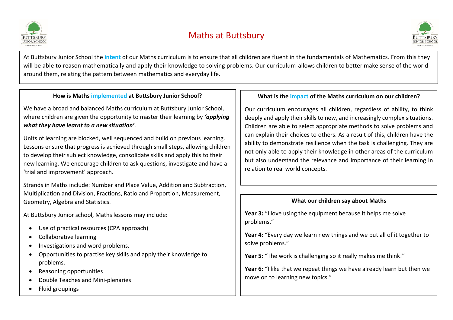

# Maths at Buttsbury



At Buttsbury Junior School the **intent** of our Maths curriculum is to ensure that all children are fluent in the fundamentals of Mathematics. From this they will be able to reason mathematically and apply their knowledge to solving problems. Our curriculum allows children to better make sense of the world around them, relating the pattern between mathematics and everyday life.

# **How is Maths implemented at Buttsbury Junior School?**

We have a broad and balanced Maths curriculum at Buttsbury Junior School, where children are given the opportunity to master their learning by *'applying what they have learnt to a new situation'*.

Units of learning are blocked, well sequenced and build on previous learning. Lessons ensure that progress is achieved through small steps, allowing children to develop their subject knowledge, consolidate skills and apply this to their new learning. We encourage children to ask questions, investigate and have a 'trial and improvement' approach.

Strands in Maths include: Number and Place Value, Addition and Subtraction, Multiplication and Division, Fractions, Ratio and Proportion, Measurement, Geometry, Algebra and Statistics.

At Buttsbury Junior school, Maths lessons may include:

- Use of practical resources (CPA approach)
- Collaborative learning
- Investigations and word problems.
- Opportunities to practise key skills and apply their knowledge to problems.
- Reasoning opportunities
- Double Teaches and Mini-plenaries
- Fluid groupings

# **What is the impact of the Maths curriculum on our children?**

Our curriculum encourages all children, regardless of ability, to think deeply and apply their skills to new, and increasingly complex situations. Children are able to select appropriate methods to solve problems and can explain their choices to others. As a result of this, children have the ability to demonstrate resilience when the task is challenging. They are not only able to apply their knowledge in other areas of the curriculum but also understand the relevance and importance of their learning in relation to real world concepts.

## **What our children say about Maths**

**Year 3:** "I love using the equipment because it helps me solve problems."

**Year 4:** "Every day we learn new things and we put all of it together to solve problems."

**Year 5:** "The work is challenging so it really makes me think!"

**Year 6:** "I like that we repeat things we have already learn but then we move on to learning new topics."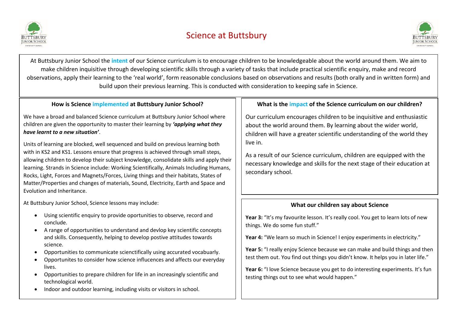



At Buttsbury Junior School the **intent** of our Science curriculum is to encourage children to be knowledgeable about the world around them. We aim to make children inquisitive through developing scientific skills through a variety of tasks that include practical scientific enquiry, make and record observations, apply their learning to the 'real world', form reasonable conclusions based on observations and results (both orally and in written form) and build upon their previous learning. This is conducted with consideration to keeping safe in Science.

# **How is Science implemented at Buttsbury Junior School?**

We have a broad and balanced Science curriculum at Buttsbury Junior School where children are given the opportunity to master their learning by *'applying what they have learnt to a new situation'*.

Units of learning are blocked, well sequenced and build on previous learning both with in KS2 and KS1. Lessons ensure that progress is achieved through small steps, allowing children to develop their subject knowledge, consolidate skills and apply their learning. Strands in Science include: Working Scientifically, Animals Including Humans, Rocks, Light, Forces and Magnets/Forces, Living things and their habitats, States of Matter/Properties and changes of materials, Sound, Electricity, Earth and Space and Evolution and Inheritance.

At Buttsbury Junior School, Science lessons may include:

- Using scientific enquiry to provide oportunities to observe, record and conclude.
- A range of opportunities to understand and devlop key scientific concepts and skills. Consequently, helping to develop postive attitudes towards science.
- Opportunities to communicate scienctifically using accurated vocabuarly.
- Opportunites to consider how science influcences and affects our everyday lives.
- Opportunities to prepare children for life in an increasingly scientific and technological world.
- Indoor and outdoor learning, including visits or visitors in school.

# **What is the impact of the Science curriculum on our children?**

Our curriculum encourages children to be inquisitive and enthusiastic about the world around them. By learning about the wider world, children will have a greater scientific understanding of the world they live in.

As a result of our Science curriculum, children are equipped with the necessary knowledge and skills for the next stage of their education at secondary school.

# **What our children say about Science**

Year 3: "It's my favourite lesson. It's really cool. You get to learn lots of new things. We do some fun stuff."

**Year 4:** "We learn so much in Science! I enjoy experiments in electricity."

**Year 5:** "I really enjoy Science because we can make and build things and then test them out. You find out things you didn't know. It helps you in later life."

**Year 6:** "I love Science because you get to do interesting experiments. It's fun testing things out to see what would happen."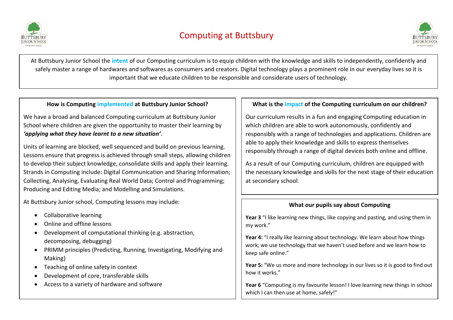



At Buttsbury Junior School the **intent** of our Computing curriculum is to equip children with the knowledge and skills to independently, confidently and safely master a range of hardwares and softwares as consumers and creators. Digital technology plays a prominent role in our everyday lives so it is important that we educate children to be responsible and considerate users of technology.

# **How is Computing implemented at Buttsbury Junior School?**

We have a broad and balanced Computing curriculum at Buttsbury Junior School where children are given the opportunity to master their learning by *'applying what they have learnt to a new situation'*.

Units of learning are blocked, well sequenced and build on previous learning. Lessons ensure that progress is achieved through small steps, allowing children to develop their subject knowledge, consolidate skills and apply their learning. Strands in Computing include: Digital Communication and Sharing Information; Collecting, Analysing, Evaluating Real World Data; Control and Programming; Producing and Editing Media; and Modelling and Simulations.

At Buttsbury Junior school, Computing lessons may include:

- Collaborative learning
- Online and offline lessons
- Development of computational thinking (e.g. abstraction, decomposing, debugging)
- PRIMM principles (Predicting, Running, Investigating, Modifying and Making)
- Teaching of online safety in context
- Development of core, transferable skills
- Access to a variety of hardware and software

# **What is the impact of the Computing curriculum on our children?**

Our curriculum results in a fun and engaging Computing education in which children are able to work autonomously, confidently and responsibly with a range of technologies and applications. Children are able to apply their knowledge and skills to express themselves responsibly through a range of digital devices both online and offline.

As a result of our Computing curriculum, children are equipped with the necessary knowledge and skills for the next stage of their education at secondary school.

# **What our pupils say about Computing**

**Year 3** "I like learning new things, like copying and pasting, and using them in my work."

**Year 4:** "I really like learning about technology. We learn about how things work; we use technology that we haven't used before and we learn how to keep safe online."

**Year 5:** "We us more and more technology in our lives so it is good to find out how it works."

**Year 6** "Computing is my favourite lesson! I love learning new things in school which I can then use at home, safely!"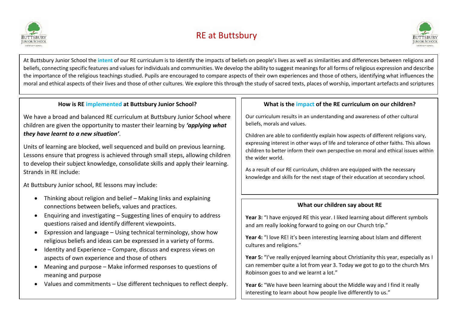

# RE at Buttsbury



At Buttsbury Junior School the **intent** of our RE curriculum is to identify the impacts of beliefs on people's lives as well as similarities and differences between religions and beliefs, connecting specific features and values for individuals and communities. We develop the ability to suggest meanings for all forms of religious expression and describe the importance of the religious teachings studied. Pupils are encouraged to compare aspects of their own experiences and those of others, identifying what influences the moral and ethical aspects of their lives and those of other cultures. We explore this through the study of sacred texts, places of worship, important artefacts and scriptures

# **How is RE implemented at Buttsbury Junior School?**

We have a broad and balanced RE curriculum at Buttsbury Junior School where children are given the opportunity to master their learning by *'applying what they have learnt to a new situation'*.

Units of learning are blocked, well sequenced and build on previous learning. Lessons ensure that progress is achieved through small steps, allowing children to develop their subject knowledge, consolidate skills and apply their learning. Strands in RE include:

At Buttsbury Junior school, RE lessons may include:

- Thinking about religion and belief Making links and explaining connections between beliefs, values and practices.
- Enquiring and investigating Suggesting lines of enquiry to address questions raised and identify different viewpoints.
- Expression and language Using technical terminology, show how religious beliefs and ideas can be expressed in a variety of forms.
- Identity and Experience Compare, discuss and express views on aspects of own experience and those of others
- Meaning and purpose Make informed responses to questions of meaning and purpose
- Values and commitments Use different techniques to reflect deeply.

# **What is the impact of the RE curriculum on our children?**

Our curriculum results in an understanding and awareness of other cultural beliefs, morals and values.

Children are able to confidently explain how aspects of different religions vary, expressing interest in other ways of life and tolerance of other faiths. This allows children to better inform their own perspective on moral and ethical issues within the wider world.

As a result of our RE curriculum, children are equipped with the necessary knowledge and skills for the next stage of their education at secondary school.

## **What our children say about RE**

**Year 3:** "I have enjoyed RE this year. I liked learning about different symbols and am really looking forward to going on our Church trip."

Year 4: "I love RE! it's been interesting learning about Islam and different cultures and religions."

Year 5: "I've really enjoyed learning about Christianity this year, especially as I can remember quite a lot from year 3. Today we got to go to the church Mrs Robinson goes to and we learnt a lot."

**Year 6:** "We have been learning about the Middle way and I find it really interesting to learn about how people live differently to us."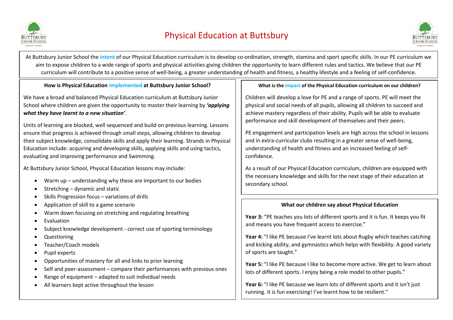



At Buttsbury Junior School the **intent** of our Physical Education curriculum is to develop co-ordination, strength, stamina and sport specific skills. In our PE curriculum we aim to expose children to a wide range of sports and physical activities giving children the opportunity to learn different rules and tactics. We believe that our PE curriculum will contribute to a positive sense of well-being, a greater understanding of health and fitness, a healthy lifestyle and a feeling of self-confidence.

**How is Physical Education implemented at Buttsbury Junior School?**

We have a broad and balanced Physical Education curriculum at Buttsbury Junior School where children are given the opportunity to master their learning by *'applying what they have learnt to a new situation'*.

Units of learning are blocked, well sequenced and build on previous learning. Lessons ensure that progress is achieved through small steps, allowing children to develop their subject knowledge, consolidate skills and apply their learning. Strands in Physical Education include: acquiring and developing skills, applying skills and using tactics, evaluating and improving performance and Swimming.

At Buttsbury Junior School, Physical Education lessons may include:

- Warm up understanding why these are important to our bodies
- Stretching dynamic and static
- Skills Progression focus variations of drills
- Application of skill to a game scenario
- Warm down focusing on stretching and regulating breathing
- **•** Evaluation
- Subject knowledge development correct use of sporting terminology
- Questioning
- Teacher/Coach models
- Pupil experts
- Opportunities of mastery for all and links to prior learning
- Self and peer-assessment compare their performances with previous ones
- Range of equipment adapted to suit individual needs
- All learners kept active throughout the lesson

# **What is the impact of the Physical Education curriculum on our children?**

Children will develop a love for PE and a range of sports. PE will meet the physical and social needs of all pupils, allowing all children to succeed and achieve mastery regardless of their ability. Pupils will be able to evaluate performance and skill development of themselves and their peers.

PE engagement and participation levels are high across the school in lessons and in extra-curricular clubs resulting in a greater sense of well-being, understanding of health and fitness and an increased feeling of selfconfidence.

As a result of our Physical Education curriculum, children are equipped with the necessary knowledge and skills for the next stage of their education at secondary school.

# **What our children say about Physical Education**

**Year 3:** "PE teaches you lots of different sports and it is fun. It keeps you fit and means you have frequent access to exercise."

**Year 4:** "I like PE because I've learnt lots about Rugby which teaches catching and kicking ability, and gymnastics which helps with flexibility. A good variety of sports are taught."

**Year 5:** "I like PE because I like to become more active. We get to learn about lots of different sports. I enjoy being a role model to other pupils."

Year 6: "I like PE because we learn lots of different sports and it isn't just running. It is fun exercising! I've learnt how to be resilient."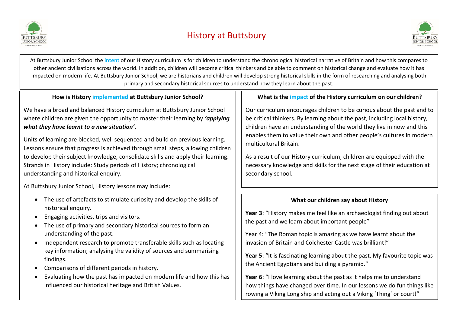



At Buttsbury Junior School the **intent** of our History curriculum is for children to understand the chronological historical narrative of Britain and how this compares to other ancient civilisations across the world. In addition, children will become critical thinkers and be able to comment on historical change and evaluate how it has impacted on modern life. At Buttsbury Junior School, we are historians and children will develop strong historical skills in the form of researching and analysing both primary and secondary historical sources to understand how they learn about the past.

# **How is History implemented at Buttsbury Junior School?**

We have a broad and balanced History curriculum at Buttsbury Junior School where children are given the opportunity to master their learning by *'applying what they have learnt to a new situation'*.

Units of learning are blocked, well sequenced and build on previous learning. Lessons ensure that progress is achieved through small steps, allowing children to develop their subject knowledge, consolidate skills and apply their learning. Strands in History include: Study periods of History; chronological understanding and historical enquiry.

At Buttsbury Junior School, History lessons may include:

- The use of artefacts to stimulate curiosity and develop the skills of historical enquiry.
- Engaging activities, trips and visitors.
- The use of primary and secondary historical sources to form an understanding of the past.
- Independent research to promote transferable skills such as locating key information; analysing the validity of sources and summarising findings.
- Comparisons of different periods in history.
- Evaluating how the past has impacted on modern life and how this has influenced our historical heritage and British Values.

# **What is the impact of the History curriculum on our children?**

Our curriculum encourages children to be curious about the past and to be critical thinkers. By learning about the past, including local history, children have an understanding of the world they live in now and this enables them to value their own and other people's cultures in modern multicultural Britain.

As a result of our History curriculum, children are equipped with the necessary knowledge and skills for the next stage of their education at secondary school.

## **What our children say about History**

**Year 3**: "History makes me feel like an archaeologist finding out about the past and we learn about important people"

Year 4: "The Roman topic is amazing as we have learnt about the invasion of Britain and Colchester Castle was brilliant!"

**Year 5**: "It is fascinating learning about the past. My favourite topic was the Ancient Egyptians and building a pyramid."

**Year 6**: "I love learning about the past as it helps me to understand how things have changed over time. In our lessons we do fun things like rowing a Viking Long ship and acting out a Viking 'Thing' or court!"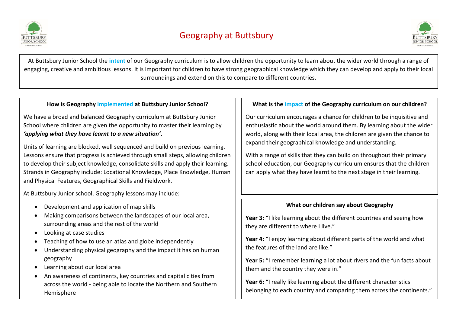



At Buttsbury Junior School the **intent** of our Geography curriculum is to allow children the opportunity to learn about the wider world through a range of engaging, creative and ambitious lessons. It is important for children to have strong geographical knowledge which they can develop and apply to their local surroundings and extend on this to compare to different countries.

# **How is Geography implemented at Buttsbury Junior School?**

We have a broad and balanced Geography curriculum at Buttsbury Junior School where children are given the opportunity to master their learning by *'applying what they have learnt to a new situation'*.

Units of learning are blocked, well sequenced and build on previous learning. Lessons ensure that progress is achieved through small steps, allowing children to develop their subject knowledge, consolidate skills and apply their learning. Strands in Geography include: Locational Knowledge, Place Knowledge, Human and Physical Features, Geographical Skills and Fieldwork.

At Buttsbury Junior school, Geography lessons may include:

- Development and application of map skills
- Making comparisons between the landscapes of our local area, surrounding areas and the rest of the world
- Looking at case studies
- Teaching of how to use an atlas and globe independently
- Understanding physical geography and the impact it has on human geography
- Learning about our local area
- An awareness of continents, key countries and capital cities from across the world - being able to locate the Northern and Southern Hemisphere

# **What is the impact of the Geography curriculum on our children?**

Our curriculum encourages a chance for children to be inquisitive and enthusiastic about the world around them. By learning about the wider world, along with their local area, the children are given the chance to expand their geographical knowledge and understanding.

With a range of skills that they can build on throughout their primary school education, our Geography curriculum ensures that the children can apply what they have learnt to the next stage in their learning.

# **What our children say about Geography**

**Year 3:** "I like learning about the different countries and seeing how they are different to where I live."

**Year 4:** "I enjoy learning about different parts of the world and what the features of the land are like."

**Year 5:** "I remember learning a lot about rivers and the fun facts about them and the country they were in."

Year 6: "I really like learning about the different characteristics belonging to each country and comparing them across the continents."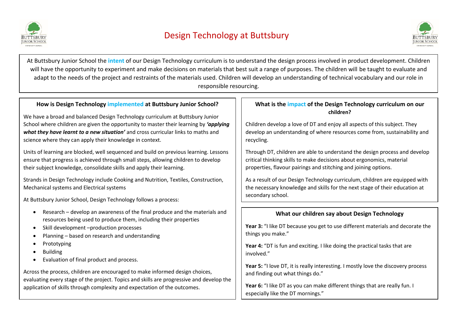

# Design Technology at Buttsbury



At Buttsbury Junior School the **intent** of our Design Technology curriculum is to understand the design process involved in product development. Children will have the opportunity to experiment and make decisions on materials that best suit a range of purposes. The children will be taught to evaluate and adapt to the needs of the project and restraints of the materials used. Children will develop an understanding of technical vocabulary and our role in responsible resourcing.

# **How is Design Technology implemented at Buttsbury Junior School?**

We have a broad and balanced Design Technology curriculum at Buttsbury Junior School where children are given the opportunity to master their learning by *'applying what they have learnt to a new situation'* and cross curricular links to maths and science where they can apply their knowledge in context.

Units of learning are blocked, well sequenced and build on previous learning. Lessons ensure that progress is achieved through small steps, allowing children to develop their subject knowledge, consolidate skills and apply their learning.

Strands in Design Technology include Cooking and Nutrition, Textiles, Construction, Mechanical systems and Electrical systems

At Buttsbury Junior School, Design Technology follows a process:

- Research develop an awareness of the final produce and the materials and resources being used to produce them, including their properties
- Skill development –production processes
- Planning based on research and understanding
- Prototyping
- Building
- Evaluation of final product and process.

Across the process, children are encouraged to make informed design choices, evaluating every stage of the project. Topics and skills are progressive and develop the application of skills through complexity and expectation of the outcomes.

### **What is the impact of the Design Technology curriculum on our children?**

Children develop a love of DT and enjoy all aspects of this subject. They develop an understanding of where resources come from, sustainability and recycling.

Through DT, children are able to understand the design process and develop critical thinking skills to make decisions about ergonomics, material properties, flavour pairings and stitching and joining options.

As a result of our Design Technology curriculum, children are equipped with the necessary knowledge and skills for the next stage of their education at secondary school.

# **What our children say about Design Technology**

**Year 3:** "I like DT because you get to use different materials and decorate the things you make."

**Year 4:** "DT is fun and exciting. I like doing the practical tasks that are involved."

**Year 5:** "I love DT, it is really interesting. I mostly love the discovery process and finding out what things do."

**Year 6:** "I like DT as you can make different things that are really fun. I especially like the DT mornings."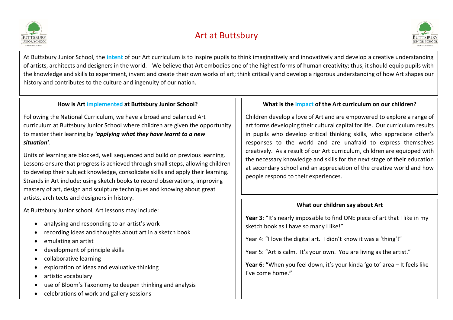

# Art at Buttsbury



At Buttsbury Junior School, the **intent** of our Art curriculum is to inspire pupils to think imaginatively and innovatively and develop a creative understanding of artists, architects and designers in the world. We believe that Art embodies one of the highest forms of human creativity; thus, it should equip pupils with the knowledge and skills to experiment, invent and create their own works of art; think critically and develop a rigorous understanding of how Art shapes our history and contributes to the culture and ingenuity of our nation.

# **How is Art implemented at Buttsbury Junior School?**

Following the National Curriculum, we have a broad and balanced Art curriculum at Buttsbury Junior School where children are given the opportunity to master their learning by *'applying what they have learnt to a new situation'*.

Units of learning are blocked, well sequenced and build on previous learning. Lessons ensure that progress is achieved through small steps, allowing children to develop their subject knowledge, consolidate skills and apply their learning. Strands in Art include: using sketch books to record observations, improving mastery of art, design and sculpture techniques and knowing about great artists, architects and designers in history.

At Buttsbury Junior school, Art lessons may include:

- analysing and responding to an artist's work
- recording ideas and thoughts about art in a sketch book
- emulating an artist
- development of principle skills
- collaborative learning
- exploration of ideas and evaluative thinking
- artistic vocabulary
- use of Bloom's Taxonomy to deepen thinking and analysis
- celebrations of work and gallery sessions

## **What is the impact of the Art curriculum on our children?**

Children develop a love of Art and are empowered to explore a range of art forms developing their cultural capital for life. Our curriculum results in pupils who develop critical thinking skills, who appreciate other's responses to the world and are unafraid to express themselves creatively. As a result of our Art curriculum, children are equipped with the necessary knowledge and skills for the next stage of their education at secondary school and an appreciation of the creative world and how people respond to their experiences.

## **What our children say about Art**

**Year 3**: "It's nearly impossible to find ONE piece of art that I like in my sketch book as I have so many I like!"

Year 4: "I love the digital art. I didn't know it was a 'thing'!"

Year 5: "Art is calm. It's your own. You are living as the artist."

**Year 6**: **"**When you feel down, it's your kinda 'go to' area – It feels like I've come home.**"**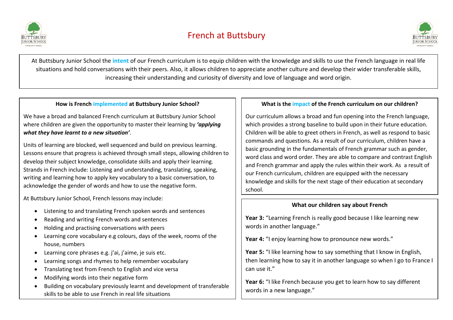



At Buttsbury Junior School the **intent** of our French curriculum is to equip children with the knowledge and skills to use the French language in real life situations and hold conversations with their peers. Also, it allows children to appreciate another culture and develop their wider transferable skills, increasing their understanding and curiosity of diversity and love of language and word origin.

#### **How is French implemented at Buttsbury Junior School?**

We have a broad and balanced French curriculum at Buttsbury Junior School where children are given the opportunity to master their learning by *'applying what they have learnt to a new situation'*.

Units of learning are blocked, well sequenced and build on previous learning. Lessons ensure that progress is achieved through small steps, allowing children to develop their subject knowledge, consolidate skills and apply their learning. Strands in French include: Listening and understanding, translating, speaking, writing and learning how to apply key vocabulary to a basic conversation, to acknowledge the gender of words and how to use the negative form.

At Buttsbury Junior School, French lessons may include:

- Listening to and translating French spoken words and sentences
- Reading and writing French words and sentences
- Holding and practising conversations with peers
- Learning core vocabulary e.g colours, days of the week, rooms of the house, numbers
- Learning core phrases e.g. j'ai, j'aime, je suis etc.
- Learning songs and rhymes to help remember vocabulary
- Translating text from French to English and vice versa
- Modifying words into their negative form
- Building on vocabulary previously learnt and development of transferable skills to be able to use French in real life situations

#### **What is the impact of the French curriculum on our children?**

Our curriculum allows a broad and fun opening into the French language, which provides a strong baseline to build upon in their future education. Children will be able to greet others in French, as well as respond to basic commands and questions. As a result of our curriculum, children have a basic grounding in the fundamentals of French grammar such as gender, word class and word order. They are able to compare and contrast English and French grammar and apply the rules within their work. As a result of our French curriculum, children are equipped with the necessary knowledge and skills for the next stage of their education at secondary school.

## **What our children say about French**

**Year 3:** "Learning French is really good because I like learning new words in another language."

Year 4: "I enjoy learning how to pronounce new words."

**Year 5:** "I like learning how to say something that I know in English, then learning how to say it in another language so when I go to France I can use it."

**Year 6:** "I like French because you get to learn how to say different words in a new language."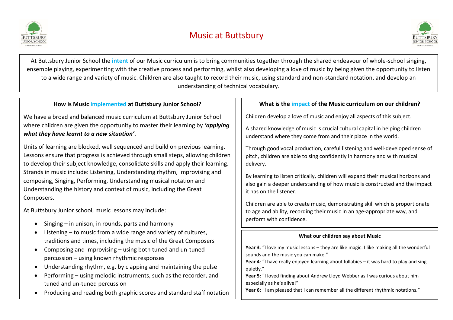



At Buttsbury Junior School the **intent** of our Music curriculum is to bring communities together through the shared endeavour of whole-school singing, ensemble playing, experimenting with the creative process and performing, whilst also developing a love of music by being given the opportunity to listen to a wide range and variety of music. Children are also taught to record their music, using standard and non-standard notation, and develop an understanding of technical vocabulary.

## **How is Music implemented at Buttsbury Junior School?**

We have a broad and balanced music curriculum at Buttsbury Junior School where children are given the opportunity to master their learning by *'applying what they have learnt to a new situation'*.

Units of learning are blocked, well sequenced and build on previous learning. Lessons ensure that progress is achieved through small steps, allowing children to develop their subject knowledge, consolidate skills and apply their learning. Strands in music include: Listening, Understanding rhythm, Improvising and composing, Singing, Performing, Understanding musical notation and Understanding the history and context of music, including the Great Composers.

At Buttsbury Junior school, music lessons may include:

- Singing in unison, in rounds, parts and harmony
- Listening to music from a wide range and variety of cultures, traditions and times, including the music of the Great Composers
- Composing and Improvising using both tuned and un-tuned percussion – using known rhythmic responses
- Understanding rhythm, e.g. by clapping and maintaining the pulse
- Performing using melodic instruments, such as the recorder, and tuned and un-tuned percussion
- Producing and reading both graphic scores and standard staff notation

# **What is the impact of the Music curriculum on our children?**

Children develop a love of music and enjoy all aspects of this subject.

A shared knowledge of music is crucial cultural capital in helping children understand where they come from and their place in the world.

Through good vocal production, careful listening and well-developed sense of pitch, children are able to sing confidently in harmony and with musical delivery.

By learning to listen critically, children will expand their musical horizons and also gain a deeper understanding of how music is constructed and the impact it has on the listener.

Children are able to create music, demonstrating skill which is proportionate to age and ability, recording their music in an age-appropriate way, and perform with confidence.

## **What our children say about Music**

**Year 3**: "I love my music lessons – they are like magic. I like making all the wonderful sounds and the music you can make."

**Year 4**: "I have really enjoyed learning about lullabies – it was hard to play and sing quietly."

**Year 5**: "I loved finding about Andrew Lloyd Webber as I was curious about him – especially as he's alive!"

**Year 6**: "I am pleased that I can remember all the different rhythmic notations."